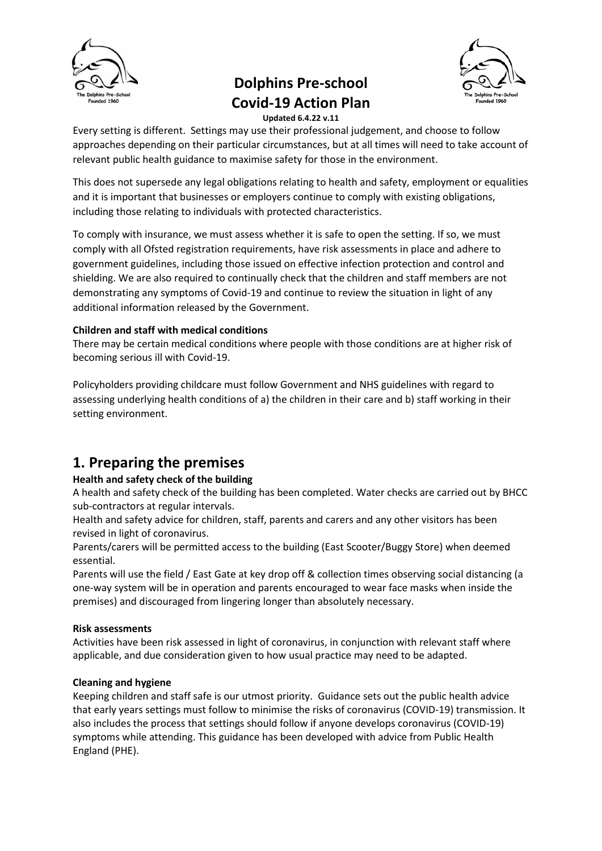

# **Dolphins Pre-school Covid-19 Action Plan**



**Updated 6.4.22 v.11**

Every setting is different. Settings may use their professional judgement, and choose to follow approaches depending on their particular circumstances, but at all times will need to take account of relevant public health guidance to maximise safety for those in the environment.

This does not supersede any legal obligations relating to health and safety, employment or equalities and it is important that businesses or employers continue to comply with existing obligations, including those relating to individuals with protected characteristics.

To comply with insurance, we must assess whether it is safe to open the setting. If so, we must comply with all Ofsted registration requirements, have risk assessments in place and adhere to government guidelines, including those issued on effective infection protection and control and shielding. We are also required to continually check that the children and staff members are not demonstrating any symptoms of Covid-19 and continue to review the situation in light of any additional information released by the Government.

#### **Children and staff with medical conditions**

There may be certain medical conditions where people with those conditions are at higher risk of becoming serious ill with Covid-19.

Policyholders providing childcare must follow Government and NHS guidelines with regard to assessing underlying health conditions of a) the children in their care and b) staff working in their setting environment.

# **1. Preparing the premises**

#### **Health and safety check of the building**

A health and safety check of the building has been completed. Water checks are carried out by BHCC sub-contractors at regular intervals.

Health and safety advice for children, staff, parents and carers and any other visitors has been revised in light of coronavirus.

Parents/carers will be permitted access to the building (East Scooter/Buggy Store) when deemed essential.

Parents will use the field / East Gate at key drop off & collection times observing social distancing (a one-way system will be in operation and parents encouraged to wear face masks when inside the premises) and discouraged from lingering longer than absolutely necessary.

#### **Risk assessments**

Activities have been risk assessed in light of coronavirus, in conjunction with relevant staff where applicable, and due consideration given to how usual practice may need to be adapted.

#### **Cleaning and hygiene**

Keeping children and staff safe is our utmost priority. Guidance sets out the public health advice that early years settings must follow to minimise the risks of coronavirus (COVID-19) transmission. It also includes the process that settings should follow if anyone develops coronavirus (COVID-19) symptoms while attending. This guidance has been developed with advice from Public Health England (PHE).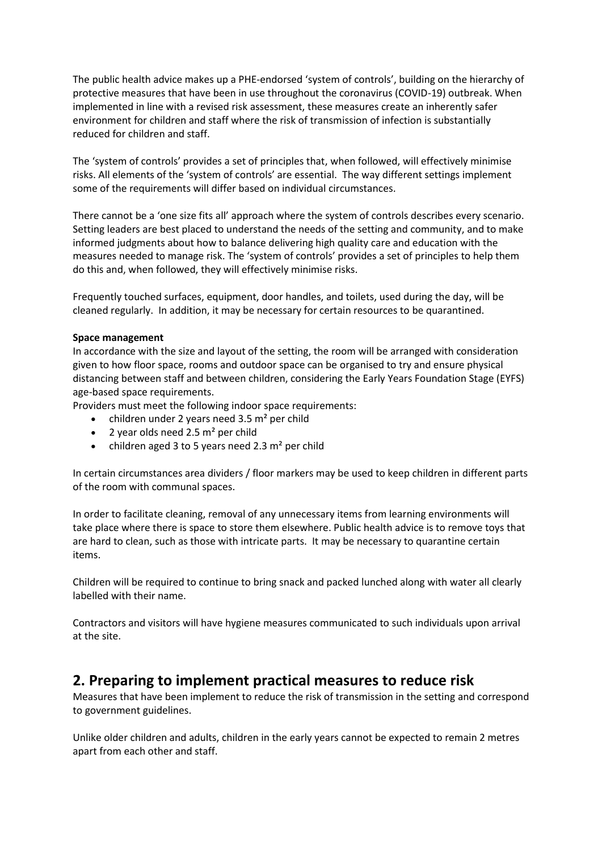The public health advice makes up a PHE-endorsed 'system of controls', building on the hierarchy of protective measures that have been in use throughout the coronavirus (COVID-19) outbreak. When implemented in line with a revised risk assessment, these measures create an inherently safer environment for children and staff where the risk of transmission of infection is substantially reduced for children and staff.

The 'system of controls' provides a set of principles that, when followed, will effectively minimise risks. All elements of the 'system of controls' are essential. The way different settings implement some of the requirements will differ based on individual circumstances.

There cannot be a 'one size fits all' approach where the system of controls describes every scenario. Setting leaders are best placed to understand the needs of the setting and community, and to make informed judgments about how to balance delivering high quality care and education with the measures needed to manage risk. The 'system of controls' provides a set of principles to help them do this and, when followed, they will effectively minimise risks.

Frequently touched surfaces, equipment, door handles, and toilets, used during the day, will be cleaned regularly. In addition, it may be necessary for certain resources to be quarantined.

#### **Space management**

In accordance with the size and layout of the setting, the room will be arranged with consideration given to how floor space, rooms and outdoor space can be organised to try and ensure physical distancing between staff and between children, considering the Early Years Foundation Stage (EYFS) age-based space requirements.

Providers must meet the following indoor space requirements:

- children under 2 years need  $3.5$  m<sup>2</sup> per child
- 2 year olds need 2.5  $m<sup>2</sup>$  per child
- children aged 3 to 5 years need 2.3  $m<sup>2</sup>$  per child

In certain circumstances area dividers / floor markers may be used to keep children in different parts of the room with communal spaces.

In order to facilitate cleaning, removal of any unnecessary items from learning environments will take place where there is space to store them elsewhere. Public health advice is to remove toys that are hard to clean, such as those with intricate parts. It may be necessary to quarantine certain items.

Children will be required to continue to bring snack and packed lunched along with water all clearly labelled with their name.

Contractors and visitors will have hygiene measures communicated to such individuals upon arrival at the site.

### **2. Preparing to implement practical measures to reduce risk**

Measures that have been implement to reduce the risk of transmission in the setting and correspond to government guidelines.

Unlike older children and adults, children in the early years cannot be expected to remain 2 metres apart from each other and staff.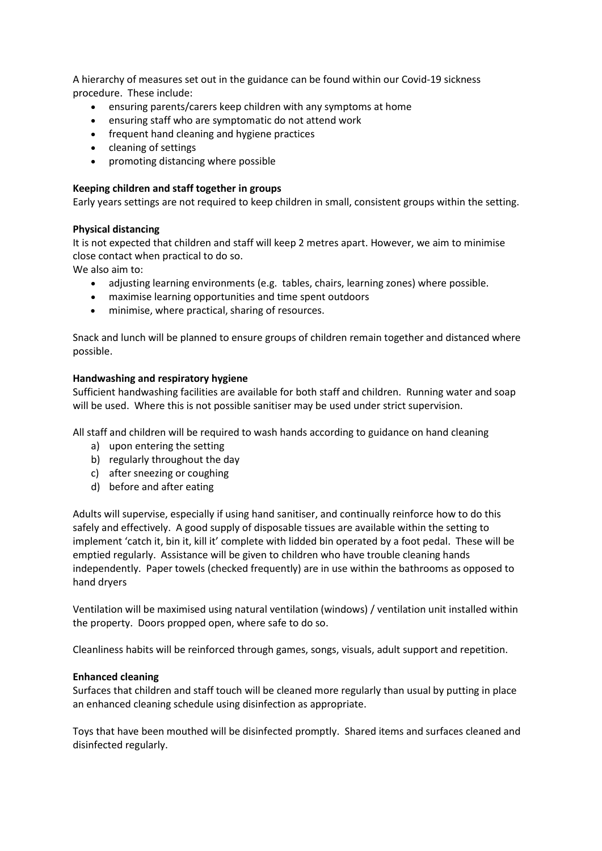A hierarchy of measures set out in the guidance can be found within our Covid-19 sickness procedure. These include:

- ensuring parents/carers keep children with any symptoms at home
- ensuring staff who are symptomatic do not attend work
- frequent hand cleaning and hygiene practices
- cleaning of settings
- promoting distancing where possible

#### **Keeping children and staff together in groups**

Early years settings are not required to keep children in small, consistent groups within the setting.

#### **Physical distancing**

It is not expected that children and staff will keep 2 metres apart. However, we aim to minimise close contact when practical to do so.

We also aim to:

- adjusting learning environments (e.g. tables, chairs, learning zones) where possible.
- maximise learning opportunities and time spent outdoors
- minimise, where practical, sharing of resources.

Snack and lunch will be planned to ensure groups of children remain together and distanced where possible.

#### **Handwashing and respiratory hygiene**

Sufficient handwashing facilities are available for both staff and children. Running water and soap will be used. Where this is not possible sanitiser may be used under strict supervision.

All staff and children will be required to wash hands according to guidance on hand cleaning

- a) upon entering the setting
- b) regularly throughout the day
- c) after sneezing or coughing
- d) before and after eating

Adults will supervise, especially if using hand sanitiser, and continually reinforce how to do this safely and effectively. A good supply of disposable tissues are available within the setting to implement 'catch it, bin it, kill it' complete with lidded bin operated by a foot pedal. These will be emptied regularly. Assistance will be given to children who have trouble cleaning hands independently. Paper towels (checked frequently) are in use within the bathrooms as opposed to hand dryers

Ventilation will be maximised using natural ventilation (windows) / ventilation unit installed within the property. Doors propped open, where safe to do so.

Cleanliness habits will be reinforced through games, songs, visuals, adult support and repetition.

#### **Enhanced cleaning**

Surfaces that children and staff touch will be cleaned more regularly than usual by putting in place an enhanced cleaning schedule using disinfection as appropriate.

Toys that have been mouthed will be disinfected promptly. Shared items and surfaces cleaned and disinfected regularly.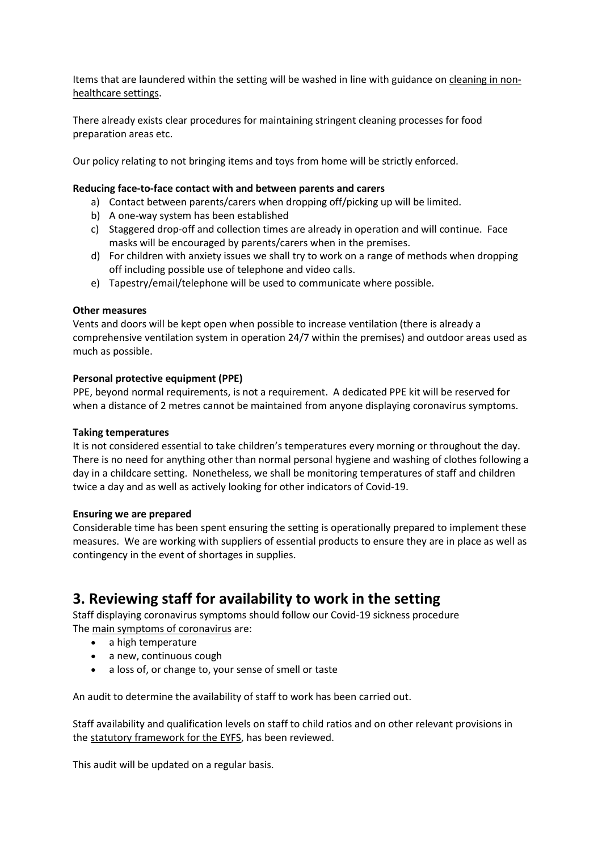Items that are laundered within the setting will be washed in line with guidance on [cleaning in non](https://www.gov.uk/government/publications/covid-19-decontamination-in-non-healthcare-settings)[healthcare settings.](https://www.gov.uk/government/publications/covid-19-decontamination-in-non-healthcare-settings)

There already exists clear procedures for maintaining stringent cleaning processes for food preparation areas etc.

Our policy relating to not bringing items and toys from home will be strictly enforced.

#### **Reducing face-to-face contact with and between parents and carers**

- a) Contact between parents/carers when dropping off/picking up will be limited.
- b) A one-way system has been established
- c) Staggered drop-off and collection times are already in operation and will continue. Face masks will be encouraged by parents/carers when in the premises.
- d) For children with anxiety issues we shall try to work on a range of methods when dropping off including possible use of telephone and video calls.
- e) Tapestry/email/telephone will be used to communicate where possible.

#### **Other measures**

Vents and doors will be kept open when possible to increase ventilation (there is already a comprehensive ventilation system in operation 24/7 within the premises) and outdoor areas used as much as possible.

#### **Personal protective equipment (PPE)**

PPE, beyond normal requirements, is not a requirement. A dedicated PPE kit will be reserved for when a distance of 2 metres cannot be maintained from anyone displaying coronavirus symptoms.

#### **Taking temperatures**

It is not considered essential to take children's temperatures every morning or throughout the day. There is no need for anything other than normal personal hygiene and washing of clothes following a day in a childcare setting. Nonetheless, we shall be monitoring temperatures of staff and children twice a day and as well as actively looking for other indicators of Covid-19.

#### **Ensuring we are prepared**

Considerable time has been spent ensuring the setting is operationally prepared to implement these measures. We are working with suppliers of essential products to ensure they are in place as well as contingency in the event of shortages in supplies.

## **3. Reviewing staff for availability to work in the setting**

Staff displaying coronavirus symptoms should follow our Covid-19 sickness procedure The [main symptoms of coronavirus](https://www.nhs.uk/conditions/coronavirus-covid-19/check-if-you-have-coronavirus-symptoms/) are:

- a high temperature
- a new, continuous cough
- a loss of, or change to, your sense of smell or taste

An audit to determine the availability of staff to work has been carried out.

Staff availability and qualification levels on staff to child ratios and on other relevant provisions in the [statutory framework for the](https://www.gov.uk/government/publications/early-years-foundation-stage-framework--2) EYFS, has been reviewed.

This audit will be updated on a regular basis.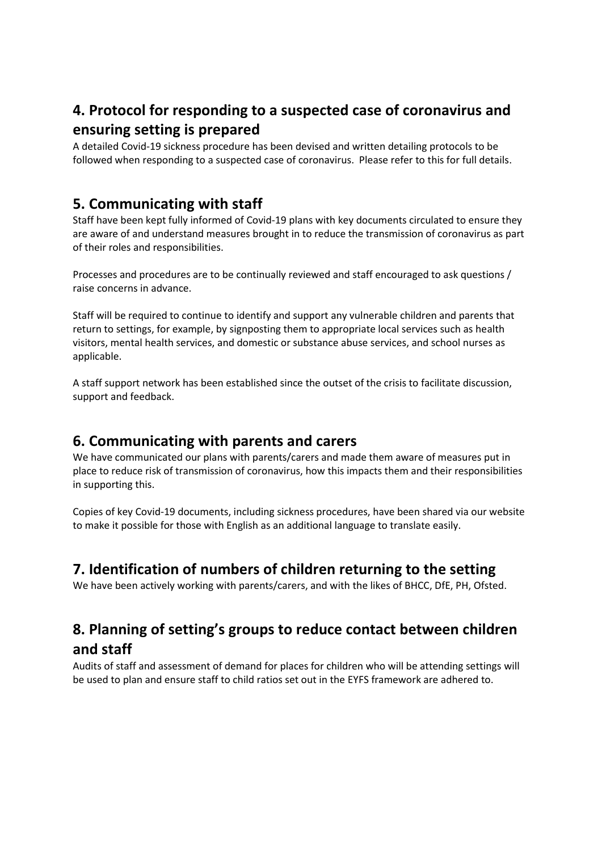# **4. Protocol for responding to a suspected case of coronavirus and ensuring setting is prepared**

A detailed Covid-19 sickness procedure has been devised and written detailing protocols to be followed when responding to a suspected case of coronavirus. Please refer to this for full details.

## **5. Communicating with staff**

Staff have been kept fully informed of Covid-19 plans with key documents circulated to ensure they are aware of and understand measures brought in to reduce the transmission of coronavirus as part of their roles and responsibilities.

Processes and procedures are to be continually reviewed and staff encouraged to ask questions / raise concerns in advance.

Staff will be required to continue to identify and support any vulnerable children and parents that return to settings, for example, by signposting them to appropriate local services such as health visitors, mental health services, and domestic or substance abuse services, and school nurses as applicable.

A staff support network has been established since the outset of the crisis to facilitate discussion, support and feedback.

### **6. Communicating with parents and carers**

We have communicated our plans with parents/carers and made them aware of measures put in place to reduce risk of transmission of coronavirus, how this impacts them and their responsibilities in supporting this.

Copies of key Covid-19 documents, including sickness procedures, have been shared via our website to make it possible for those with English as an additional language to translate easily.

## **7. Identification of numbers of children returning to the setting**

We have been actively working with parents/carers, and with the likes of BHCC, DfE, PH, Ofsted.

## **8. Planning of setting's groups to reduce contact between children and staff**

Audits of staff and assessment of demand for places for children who will be attending settings will be used to plan and ensure staff to child ratios set out in the EYFS framework are adhered to.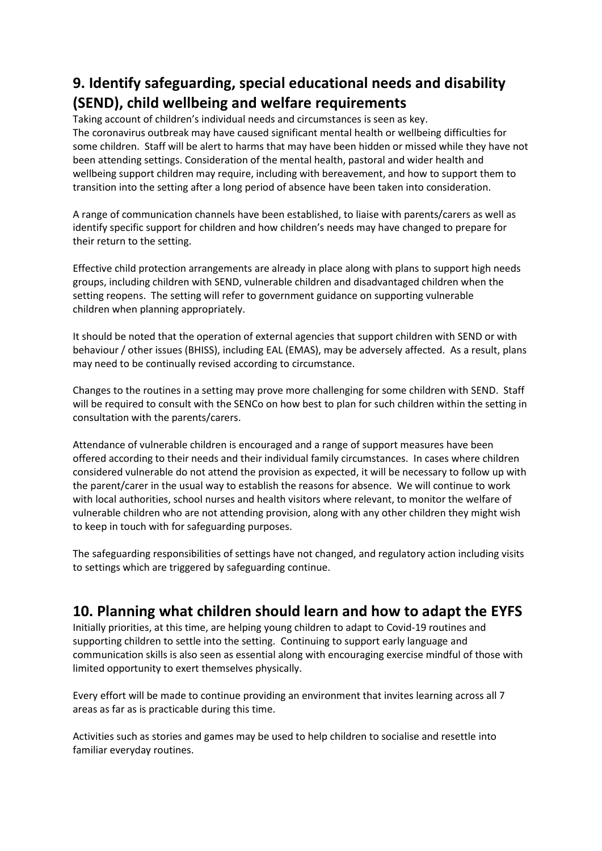# **9. Identify safeguarding, special educational needs and disability (SEND), child wellbeing and welfare requirements**

Taking account of children's individual needs and circumstances is seen as key. The coronavirus outbreak may have caused significant mental health or wellbeing difficulties for some children. Staff will be alert to harms that may have been hidden or missed while they have not been attending settings. Consideration of the mental health, pastoral and wider health and wellbeing support children may require, including with bereavement, and how to support them to transition into the setting after a long period of absence have been taken into consideration.

A range of communication channels have been established, to liaise with parents/carers as well as identify specific support for children and how children's needs may have changed to prepare for their return to the setting.

Effective child protection arrangements are already in place along with plans to support high needs groups, including children with SEND, vulnerable children and disadvantaged children when the setting reopens. The setting will refer to government guidance on supporting vulnerable children when planning appropriately.

It should be noted that the operation of external agencies that support children with SEND or with behaviour / other issues (BHISS), including EAL (EMAS), may be adversely affected. As a result, plans may need to be continually revised according to circumstance.

Changes to the routines in a setting may prove more challenging for some children with SEND. Staff will be required to consult with the SENCo on how best to plan for such children within the setting in consultation with the parents/carers.

Attendance of vulnerable children is encouraged and a range of support measures have been offered according to their needs and their individual family circumstances. In cases where children considered vulnerable do not attend the provision as expected, it will be necessary to follow up with the parent/carer in the usual way to establish the reasons for absence. We will continue to work with local authorities, school nurses and health visitors where relevant, to monitor the welfare of vulnerable children who are not attending provision, along with any other children they might wish to keep in touch with for safeguarding purposes.

The safeguarding responsibilities of settings have not changed, and regulatory action including visits to settings which are triggered by safeguarding continue.

## **10. Planning what children should learn and how to adapt the EYFS**

Initially priorities, at this time, are helping young children to adapt to Covid-19 routines and supporting children to settle into the setting. Continuing to support early language and communication skills is also seen as essential along with encouraging exercise mindful of those with limited opportunity to exert themselves physically.

Every effort will be made to continue providing an environment that invites learning across all 7 areas as far as is practicable during this time.

Activities such as stories and games may be used to help children to socialise and resettle into familiar everyday routines.